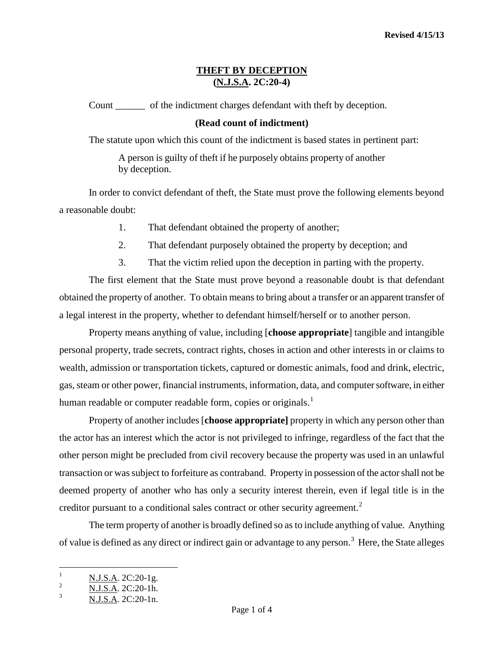# **THEFT BY DECEPTION (N.J.S.A. 2C:20-4)**

Count \_\_\_\_\_\_ of the indictment charges defendant with theft by deception.

### **(Read count of indictment)**

The statute upon which this count of the indictment is based states in pertinent part:

A person is guilty of theft if he purposely obtains property of another by deception.

In order to convict defendant of theft, the State must prove the following elements beyond a reasonable doubt:

- 1. That defendant obtained the property of another;
- 2. That defendant purposely obtained the property by deception; and
- 3. That the victim relied upon the deception in parting with the property.

The first element that the State must prove beyond a reasonable doubt is that defendant obtained the property of another. To obtain means to bring about a transfer or an apparent transfer of a legal interest in the property, whether to defendant himself/herself or to another person.

Property means anything of value, including [**choose appropriate**] tangible and intangible personal property, trade secrets, contract rights, choses in action and other interests in or claims to wealth, admission or transportation tickets, captured or domestic animals, food and drink, electric, gas, steam or other power, financial instruments, information, data, and computer software, in either human readable or computer readable form, copies or originals.<sup>[1](#page-0-0)</sup>

Property of another includes [**choose appropriate]** property in which any person other than the actor has an interest which the actor is not privileged to infringe, regardless of the fact that the other person might be precluded from civil recovery because the property was used in an unlawful transaction or was subject to forfeiture as contraband. Property in possession of the actor shall not be deemed property of another who has only a security interest therein, even if legal title is in the creditor pursuant to a conditional sales contract or other security agreement.<sup>[2](#page-0-1)</sup>

The term property of another is broadly defined so as to include anything of value. Anything of value is defined as any direct or indirect gain or advantage to any person.<sup>[3](#page-0-2)</sup> Here, the State alleges

<span id="page-0-0"></span> $\mathbf{1}$  $\frac{N.J.S.A.}{N.I.S.A.}$  2C:20-1g.

<span id="page-0-1"></span> $\frac{2}{3}$  N.J.S.A. 2C:20-1h.

<span id="page-0-2"></span>N.J.S.A. 2C:20-1n.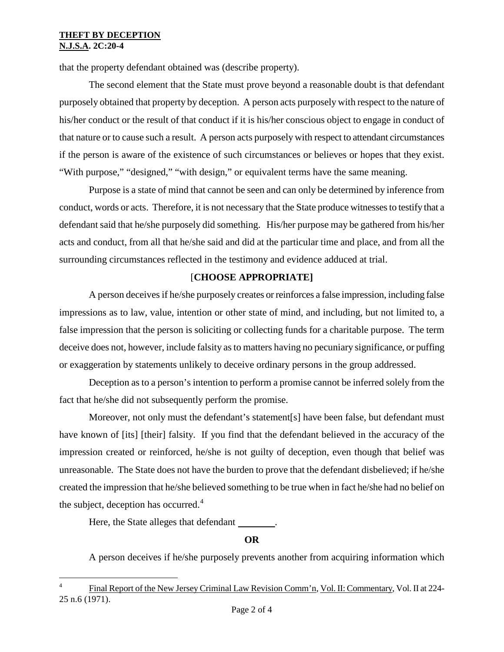### **THEFT BY DECEPTION N.J.S.A. 2C:20-4**

that the property defendant obtained was (describe property).

The second element that the State must prove beyond a reasonable doubt is that defendant purposely obtained that property by deception. A person acts purposely with respect to the nature of his/her conduct or the result of that conduct if it is his/her conscious object to engage in conduct of that nature or to cause such a result. A person acts purposely with respect to attendant circumstances if the person is aware of the existence of such circumstances or believes or hopes that they exist. "With purpose," "designed," "with design," or equivalent terms have the same meaning.

Purpose is a state of mind that cannot be seen and can only be determined by inference from conduct, words or acts. Therefore, it is not necessary that the State produce witnesses to testify that a defendant said that he/she purposely did something. His/her purpose may be gathered from his/her acts and conduct, from all that he/she said and did at the particular time and place, and from all the surrounding circumstances reflected in the testimony and evidence adduced at trial.

# [**CHOOSE APPROPRIATE]**

A person deceives if he/she purposely creates or reinforces a false impression, including false impressions as to law, value, intention or other state of mind, and including, but not limited to, a false impression that the person is soliciting or collecting funds for a charitable purpose. The term deceive does not, however, include falsity as to matters having no pecuniary significance, or puffing or exaggeration by statements unlikely to deceive ordinary persons in the group addressed.

Deception as to a person's intention to perform a promise cannot be inferred solely from the fact that he/she did not subsequently perform the promise.

Moreover, not only must the defendant's statement[s] have been false, but defendant must have known of [its] [their] falsity. If you find that the defendant believed in the accuracy of the impression created or reinforced, he/she is not guilty of deception, even though that belief was unreasonable. The State does not have the burden to prove that the defendant disbelieved; if he/she created the impression that he/she believed something to be true when in fact he/she had no belief on the subject, deception has occurred. $4$ 

Here, the State alleges that defendant \_\_\_\_\_\_\_\_.

# **OR**

A person deceives if he/she purposely prevents another from acquiring information which

<span id="page-1-0"></span> $\frac{1}{\sqrt{2}}$ <sup>4</sup> Final Report of the New Jersey Criminal Law Revision Comm'n, Vol. II: Commentary, Vol. II at 224- 25 n.6 (1971).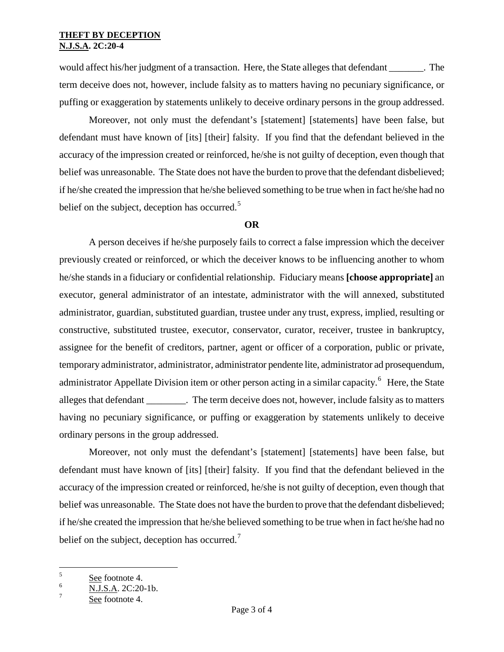would affect his/her judgment of a transaction. Here, the State alleges that defendant \_\_\_\_\_\_\_. The term deceive does not, however, include falsity as to matters having no pecuniary significance, or puffing or exaggeration by statements unlikely to deceive ordinary persons in the group addressed.

Moreover, not only must the defendant's [statement] [statements] have been false, but defendant must have known of [its] [their] falsity. If you find that the defendant believed in the accuracy of the impression created or reinforced, he/she is not guilty of deception, even though that belief was unreasonable. The State does not have the burden to prove that the defendant disbelieved; if he/she created the impression that he/she believed something to be true when in fact he/she had no belief on the subject, deception has occurred.<sup>[5](#page-1-0)</sup>

#### **OR**

A person deceives if he/she purposely fails to correct a false impression which the deceiver previously created or reinforced, or which the deceiver knows to be influencing another to whom he/she stands in a fiduciary or confidential relationship. Fiduciary means **[choose appropriate]** an executor, general administrator of an intestate, administrator with the will annexed, substituted administrator, guardian, substituted guardian, trustee under any trust, express, implied, resulting or constructive, substituted trustee, executor, conservator, curator, receiver, trustee in bankruptcy, assignee for the benefit of creditors, partner, agent or officer of a corporation, public or private, temporary administrator, administrator, administrator pendente lite, administrator ad prosequendum, administrator Appellate Division item or other person acting in a similar capacity.<sup>[6](#page-2-0)</sup> Here, the State alleges that defendant The term deceive does not, however, include falsity as to matters having no pecuniary significance, or puffing or exaggeration by statements unlikely to deceive ordinary persons in the group addressed.

Moreover, not only must the defendant's [statement] [statements] have been false, but defendant must have known of [its] [their] falsity. If you find that the defendant believed in the accuracy of the impression created or reinforced, he/she is not guilty of deception, even though that belief was unreasonable. The State does not have the burden to prove that the defendant disbelieved; if he/she created the impression that he/she believed something to be true when in fact he/she had no belief on the subject, deception has occurred.<sup>[7](#page-2-1)</sup>

<span id="page-2-2"></span> $\overline{5}$  $\frac{5}{6}$  See footnote 4.

<span id="page-2-0"></span> $\frac{6}{7}$  N.J.S.A. 2C:20-1b.

<span id="page-2-1"></span>See footnote 4.